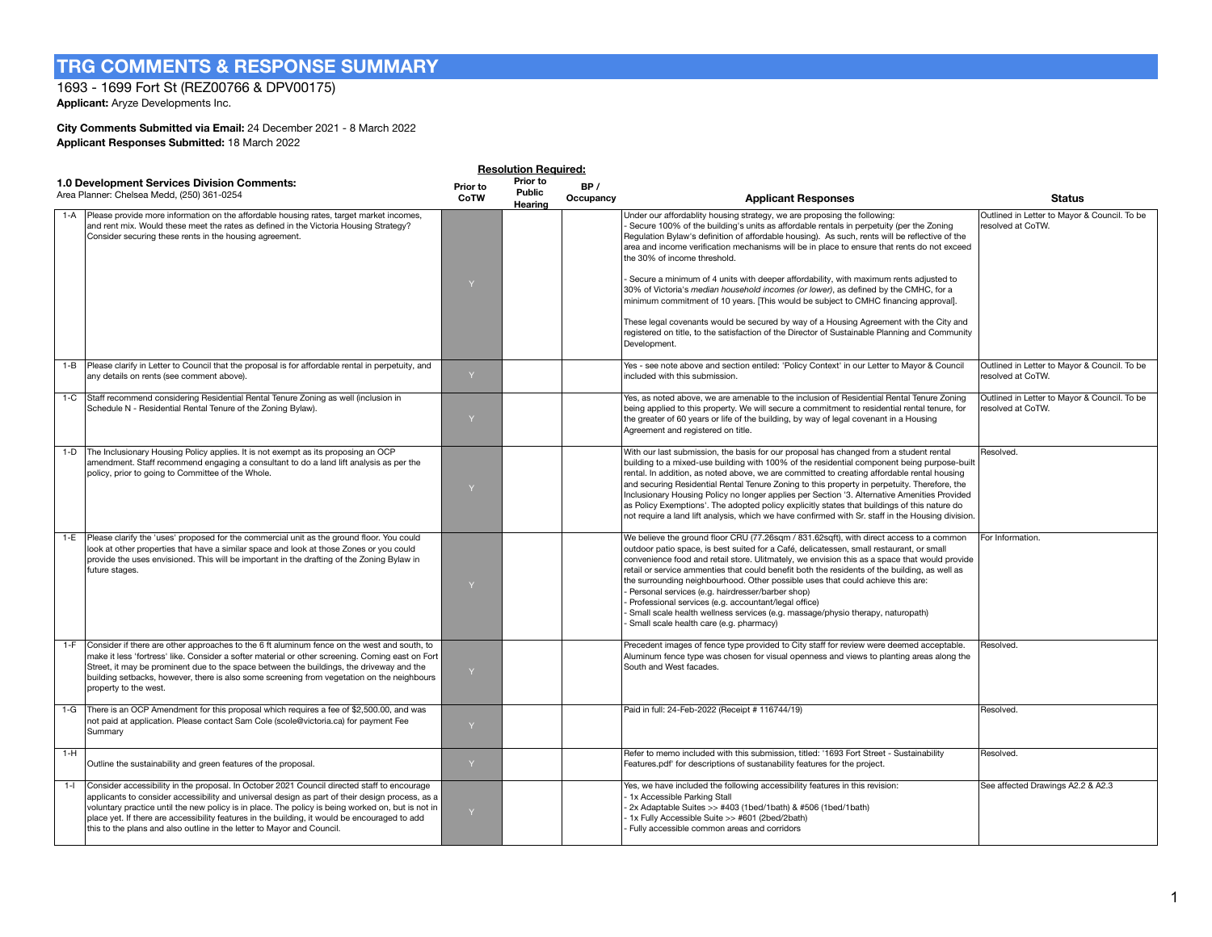# **TRG COMMENTS & RESPONSE SUMMARY**

## 1693 - 1699 Fort St (REZ00766 & DPV00175)

**Applicant:** Aryze Developments Inc.

## **City Comments Submitted via Email:** 24 December 2021 - 8 March 2022 **Applicant Responses Submitted:** 18 March 2022

|       | <b>Resolution Required:</b>                                                                                                                                                                                                                                                                                                                                                                                                                                                    |                  |                               |                  |                                                                                                                                                                                                                                                                                                                                                                                                                                                                                                                                                                                                                                                                                                                                                                                                                                                                                          |                                                                   |  |  |  |
|-------|--------------------------------------------------------------------------------------------------------------------------------------------------------------------------------------------------------------------------------------------------------------------------------------------------------------------------------------------------------------------------------------------------------------------------------------------------------------------------------|------------------|-------------------------------|------------------|------------------------------------------------------------------------------------------------------------------------------------------------------------------------------------------------------------------------------------------------------------------------------------------------------------------------------------------------------------------------------------------------------------------------------------------------------------------------------------------------------------------------------------------------------------------------------------------------------------------------------------------------------------------------------------------------------------------------------------------------------------------------------------------------------------------------------------------------------------------------------------------|-------------------------------------------------------------------|--|--|--|
|       | 1.0 Development Services Division Comments:<br>Area Planner: Chelsea Medd, (250) 361-0254                                                                                                                                                                                                                                                                                                                                                                                      | Prior to<br>CoTW | Prior to<br>Public<br>Hearing | BP/<br>Occupancy | <b>Applicant Responses</b>                                                                                                                                                                                                                                                                                                                                                                                                                                                                                                                                                                                                                                                                                                                                                                                                                                                               | <b>Status</b>                                                     |  |  |  |
| 1-A   | Please provide more information on the affordable housing rates, target market incomes,<br>and rent mix. Would these meet the rates as defined in the Victoria Housing Strategy?<br>Consider securing these rents in the housing agreement.                                                                                                                                                                                                                                    | Y                |                               |                  | Under our affordablity housing strategy, we are proposing the following:<br>Secure 100% of the building's units as affordable rentals in perpetuity (per the Zoning<br>Regulation Bylaw's definition of affordable housing). As such, rents will be reflective of the<br>area and income verification mechanisms will be in place to ensure that rents do not exceed<br>the 30% of income threshold.<br>Secure a minimum of 4 units with deeper affordability, with maximum rents adjusted to<br>30% of Victoria's median household incomes (or lower), as defined by the CMHC, for a<br>minimum commitment of 10 years. [This would be subject to CMHC financing approval].<br>These legal covenants would be secured by way of a Housing Agreement with the City and<br>registered on title, to the satisfaction of the Director of Sustainable Planning and Community<br>Development. | Outlined in Letter to Mayor & Council. To be<br>resolved at CoTW. |  |  |  |
|       | 1-B   Please clarify in Letter to Council that the proposal is for affordable rental in perpetuity, and<br>any details on rents (see comment above).                                                                                                                                                                                                                                                                                                                           | $\vee$           |                               |                  | Yes - see note above and section entiled: 'Policy Context' in our Letter to Mayor & Council<br>included with this submission.                                                                                                                                                                                                                                                                                                                                                                                                                                                                                                                                                                                                                                                                                                                                                            | Outlined in Letter to Mayor & Council. To be<br>resolved at CoTW. |  |  |  |
| $1-C$ | Staff recommend considering Residential Rental Tenure Zoning as well (inclusion in<br>Schedule N - Residential Rental Tenure of the Zoning Bylaw).                                                                                                                                                                                                                                                                                                                             | Y                |                               |                  | Yes, as noted above, we are amenable to the inclusion of Residential Rental Tenure Zoning<br>being applied to this property. We will secure a commitment to residential rental tenure, for<br>the greater of 60 years or life of the building, by way of legal covenant in a Housing<br>Agreement and registered on title.                                                                                                                                                                                                                                                                                                                                                                                                                                                                                                                                                               | Outlined in Letter to Mayor & Council. To be<br>resolved at CoTW. |  |  |  |
|       | 1-D The Inclusionary Housing Policy applies. It is not exempt as its proposing an OCP<br>amendment. Staff recommend engaging a consultant to do a land lift analysis as per the<br>policy, prior to going to Committee of the Whole.                                                                                                                                                                                                                                           |                  |                               |                  | With our last submission, the basis for our proposal has changed from a student rental<br>building to a mixed-use building with 100% of the residential component being purpose-built<br>rental. In addition, as noted above, we are committed to creating affordable rental housing<br>and securing Residential Rental Tenure Zoning to this property in perpetuity. Therefore, the<br>Inclusionary Housing Policy no longer applies per Section '3. Alternative Amenities Provided<br>as Policy Exemptions'. The adopted policy explicitly states that buildings of this nature do<br>not require a land lift analysis, which we have confirmed with Sr. staff in the Housing division.                                                                                                                                                                                                | Resolved.                                                         |  |  |  |
|       | 1-E   Please clarify the 'uses' proposed for the commercial unit as the ground floor. You could<br>look at other properties that have a similar space and look at those Zones or you could<br>provide the uses envisioned. This will be important in the drafting of the Zoning Bylaw in<br>future stages.                                                                                                                                                                     | Y                |                               |                  | We believe the ground floor CRU (77.26sqm / 831.62sqft), with direct access to a common<br>outdoor patio space, is best suited for a Café, delicatessen, small restaurant, or small<br>convenience food and retail store. Ulitmately, we envision this as a space that would provide<br>retail or service ammenties that could benefit both the residents of the building, as well as<br>the surrounding neighbourhood. Other possible uses that could achieve this are:<br>Personal services (e.g. hairdresser/barber shop)<br>Professional services (e.g. accountant/legal office)<br>Small scale health wellness services (e.g. massage/physio therapy, naturopath)<br>Small scale health care (e.g. pharmacy)                                                                                                                                                                        | For Information.                                                  |  |  |  |
|       | 1-F Consider if there are other approaches to the 6 ft aluminum fence on the west and south, to<br>make it less 'fortress' like. Consider a softer material or other screening. Coming east on Fort<br>Street, it may be prominent due to the space between the buildings, the driveway and the<br>building setbacks, however, there is also some screening from vegetation on the neighbours<br>property to the west.                                                         | Y                |                               |                  | Precedent images of fence type provided to City staff for review were deemed acceptable.<br>Aluminum fence type was chosen for visual openness and views to planting areas along the<br>South and West facades.                                                                                                                                                                                                                                                                                                                                                                                                                                                                                                                                                                                                                                                                          | Resolved.                                                         |  |  |  |
|       | 1-G There is an OCP Amendment for this proposal which requires a fee of \$2,500.00, and was<br>not paid at application. Please contact Sam Cole (scole@victoria.ca) for payment Fee<br>Summary                                                                                                                                                                                                                                                                                 | Y                |                               |                  | Paid in full: 24-Feb-2022 (Receipt # 116744/19)                                                                                                                                                                                                                                                                                                                                                                                                                                                                                                                                                                                                                                                                                                                                                                                                                                          | Resolved.                                                         |  |  |  |
| $1-H$ | Outline the sustainability and green features of the proposal.                                                                                                                                                                                                                                                                                                                                                                                                                 |                  |                               |                  | Refer to memo included with this submission, titled: '1693 Fort Street - Sustainability<br>Features.pdf' for descriptions of sustanability features for the project.                                                                                                                                                                                                                                                                                                                                                                                                                                                                                                                                                                                                                                                                                                                     | Resolved.                                                         |  |  |  |
| $1 -$ | Consider accessibility in the proposal. In October 2021 Council directed staff to encourage<br>applicants to consider accessibility and universal design as part of their design process, as a<br>voluntary practice until the new policy is in place. The policy is being worked on, but is not in<br>place yet. If there are accessibility features in the building, it would be encouraged to add<br>this to the plans and also outline in the letter to Mayor and Council. |                  |                               |                  | Yes, we have included the following accessibility features in this revision:<br>1x Accessible Parking Stall<br>2x Adaptable Suites >> #403 (1bed/1bath) & #506 (1bed/1bath)<br>1x Fully Accessible Suite >> #601 (2bed/2bath)<br>Fully accessible common areas and corridors                                                                                                                                                                                                                                                                                                                                                                                                                                                                                                                                                                                                             | See affected Drawings A2.2 & A2.3                                 |  |  |  |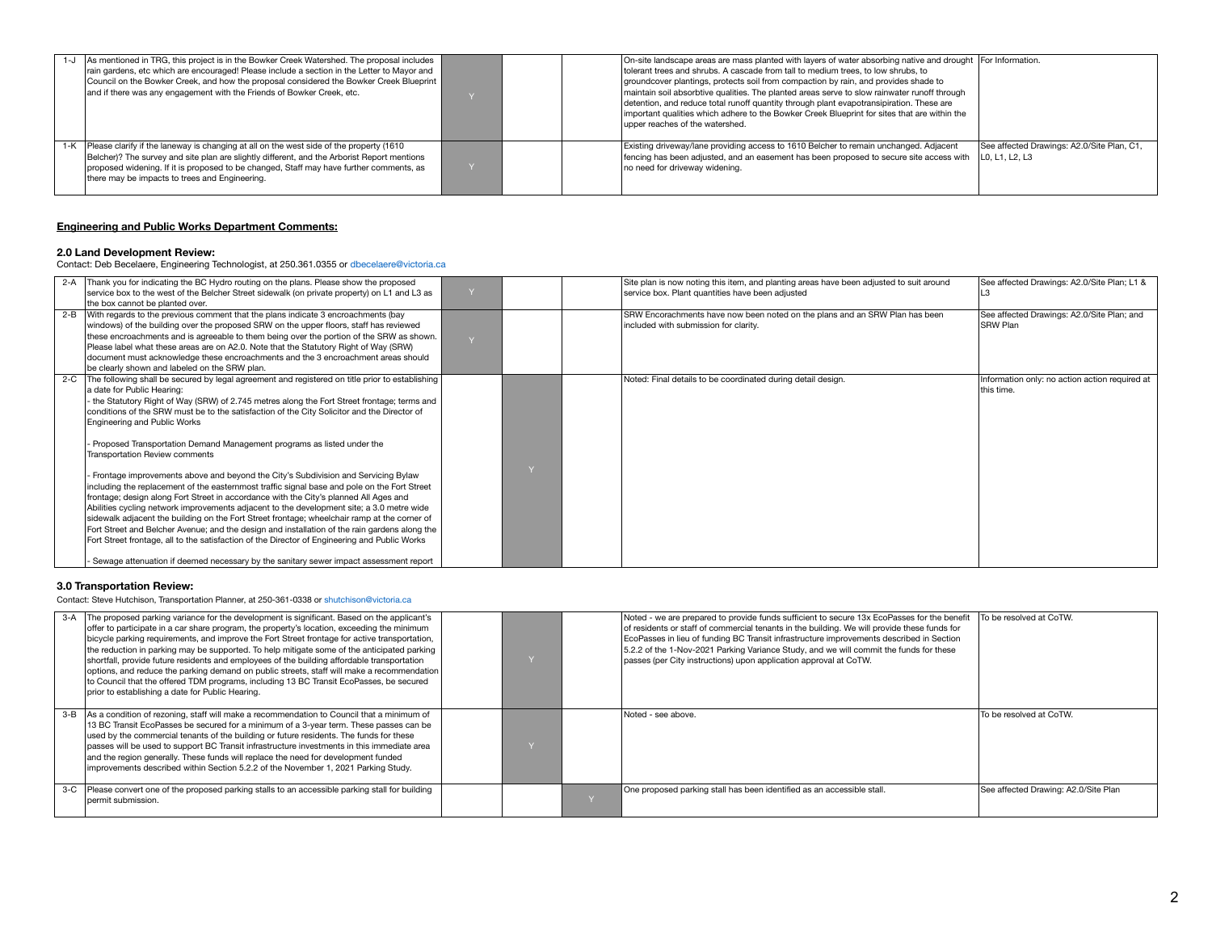| $1 - J$ | As mentioned in TRG, this project is in the Bowker Creek Watershed. The proposal includes<br>rain gardens, etc which are encouraged! Please include a section in the Letter to Mayor and<br>Council on the Bowker Creek, and how the proposal considered the Bowker Creek Blueprint<br>and if there was any engagement with the Friends of Bowker Creek, etc. |  | On-site landscape areas are mass planted with layers of water absorbing native and drought   For Information.<br>tolerant trees and shrubs. A cascade from tall to medium trees, to low shrubs, to<br>groundcover plantings, protects soil from compaction by rain, and provides shade to<br>maintain soil absorbtive qualities. The planted areas serve to slow rainwater runoff through<br>detention, and reduce total runoff quantity through plant evapotransipiration. These are<br>important qualities which adhere to the Bowker Creek Blueprint for sites that are within the<br>upper reaches of the watershed. |                                                              |
|---------|---------------------------------------------------------------------------------------------------------------------------------------------------------------------------------------------------------------------------------------------------------------------------------------------------------------------------------------------------------------|--|--------------------------------------------------------------------------------------------------------------------------------------------------------------------------------------------------------------------------------------------------------------------------------------------------------------------------------------------------------------------------------------------------------------------------------------------------------------------------------------------------------------------------------------------------------------------------------------------------------------------------|--------------------------------------------------------------|
|         | 1-K   Please clarify if the laneway is changing at all on the west side of the property (1610)<br>Belcher)? The survey and site plan are slightly different, and the Arborist Report mentions<br>proposed widening. If it is proposed to be changed, Staff may have further comments, as<br>there may be impacts to trees and Engineering.                    |  | Existing driveway/lane providing access to 1610 Belcher to remain unchanged. Adjacent<br>fencing has been adjusted, and an easement has been proposed to secure site access with<br>no need for driveway widening.                                                                                                                                                                                                                                                                                                                                                                                                       | See affected Drawings: A2.0/Site Plan, C1,<br>LO. L1. L2. L3 |

## **Engineering and Public Works Department Comments:**

**2.0 Land Development Review:**  Contact: Deb Becelaere, Engineering Technologist, at 250.361.0355 or dbecelaere@victoria.ca

|         | 2-A Thank you for indicating the BC Hydro routing on the plans. Please show the proposed        |  | Site plan is now noting this item, and planting areas have been adjusted to suit around | See affected Drawings: A2.0/Site Plan; L1 &    |
|---------|-------------------------------------------------------------------------------------------------|--|-----------------------------------------------------------------------------------------|------------------------------------------------|
|         | service box to the west of the Belcher Street sidewalk (on private property) on L1 and L3 as    |  | service box. Plant quantities have been adjusted                                        |                                                |
|         | the box cannot be planted over.                                                                 |  |                                                                                         |                                                |
| $2 - B$ | With regards to the previous comment that the plans indicate 3 encroachments (bay               |  | SRW Encorachments have now been noted on the plans and an SRW Plan has been             | See affected Drawings: A2.0/Site Plan; and     |
|         | windows) of the building over the proposed SRW on the upper floors, staff has reviewed          |  | included with submission for clarity.                                                   | SRW Plan                                       |
|         | these encroachments and is agreeable to them being over the portion of the SRW as shown.        |  |                                                                                         |                                                |
|         | Please label what these areas are on A2.0. Note that the Statutory Right of Way (SRW)           |  |                                                                                         |                                                |
|         | document must acknowledge these encroachments and the 3 encroachment areas should               |  |                                                                                         |                                                |
|         | be clearly shown and labeled on the SRW plan.                                                   |  |                                                                                         |                                                |
| $2-C$   | The following shall be secured by legal agreement and registered on title prior to establishing |  | Noted: Final details to be coordinated during detail design.                            | Information only: no action action required at |
|         | a date for Public Hearing:                                                                      |  |                                                                                         | this time.                                     |
|         | the Statutory Right of Way (SRW) of 2.745 metres along the Fort Street frontage; terms and      |  |                                                                                         |                                                |
|         | conditions of the SRW must be to the satisfaction of the City Solicitor and the Director of     |  |                                                                                         |                                                |
|         | Engineering and Public Works                                                                    |  |                                                                                         |                                                |
|         |                                                                                                 |  |                                                                                         |                                                |
|         | Proposed Transportation Demand Management programs as listed under the                          |  |                                                                                         |                                                |
|         | <b>Transportation Review comments</b>                                                           |  |                                                                                         |                                                |
|         |                                                                                                 |  |                                                                                         |                                                |
|         | Frontage improvements above and beyond the City's Subdivision and Servicing Bylaw               |  |                                                                                         |                                                |
|         | including the replacement of the easternmost traffic signal base and pole on the Fort Street    |  |                                                                                         |                                                |
|         | frontage; design along Fort Street in accordance with the City's planned All Ages and           |  |                                                                                         |                                                |
|         | Abilities cycling network improvements adjacent to the development site; a 3.0 metre wide       |  |                                                                                         |                                                |
|         | sidewalk adjacent the building on the Fort Street frontage; wheelchair ramp at the corner of    |  |                                                                                         |                                                |
|         | Fort Street and Belcher Avenue; and the design and installation of the rain gardens along the   |  |                                                                                         |                                                |
|         | Fort Street frontage, all to the satisfaction of the Director of Engineering and Public Works   |  |                                                                                         |                                                |
|         |                                                                                                 |  |                                                                                         |                                                |
|         | Sewage attenuation if deemed necessary by the sanitary sewer impact assessment report           |  |                                                                                         |                                                |

### **3.0 Transportation Review:**

Contact: Steve Hutchison, Transportation Planner, at 250-361-0338 or shutchison@victoria.ca

| 3-A The proposed parking variance for the development is significant. Based on the applicant's<br>offer to participate in a car share program, the property's location, exceeding the minimum<br>bicycle parking requirements, and improve the Fort Street frontage for active transportation,<br>the reduction in parking may be supported. To help mitigate some of the anticipated parking<br>shortfall, provide future residents and employees of the building affordable transportation<br>options, and reduce the parking demand on public streets, staff will make a recommendation<br>to Council that the offered TDM programs, including 13 BC Transit EcoPasses, be secured<br>prior to establishing a date for Public Hearing. |  | Noted - we are prepared to provide funds sufficient to secure 13x EcoPasses for the benefit<br>of residents or staff of commercial tenants in the building. We will provide these funds for<br>EcoPasses in lieu of funding BC Transit infrastructure improvements described in Section<br>5.2.2 of the 1-Nov-2021 Parking Variance Study, and we will commit the funds for these<br>passes (per City instructions) upon application approval at CoTW. | To be resolved at CoTW.              |
|-------------------------------------------------------------------------------------------------------------------------------------------------------------------------------------------------------------------------------------------------------------------------------------------------------------------------------------------------------------------------------------------------------------------------------------------------------------------------------------------------------------------------------------------------------------------------------------------------------------------------------------------------------------------------------------------------------------------------------------------|--|--------------------------------------------------------------------------------------------------------------------------------------------------------------------------------------------------------------------------------------------------------------------------------------------------------------------------------------------------------------------------------------------------------------------------------------------------------|--------------------------------------|
| 3-B As a condition of rezoning, staff will make a recommendation to Council that a minimum of<br>13 BC Transit EcoPasses be secured for a minimum of a 3-year term. These passes can be<br>used by the commercial tenants of the building or future residents. The funds for these<br>passes will be used to support BC Transit infrastructure investments in this immediate area<br>and the region generally. These funds will replace the need for development funded<br>improvements described within Section 5.2.2 of the November 1, 2021 Parking Study.                                                                                                                                                                             |  | Noted - see above.                                                                                                                                                                                                                                                                                                                                                                                                                                     | To be resolved at CoTW.              |
| 3-C Please convert one of the proposed parking stalls to an accessible parking stall for building<br>permit submission.                                                                                                                                                                                                                                                                                                                                                                                                                                                                                                                                                                                                                   |  | One proposed parking stall has been identified as an accessible stall.                                                                                                                                                                                                                                                                                                                                                                                 | See affected Drawing: A2.0/Site Plan |